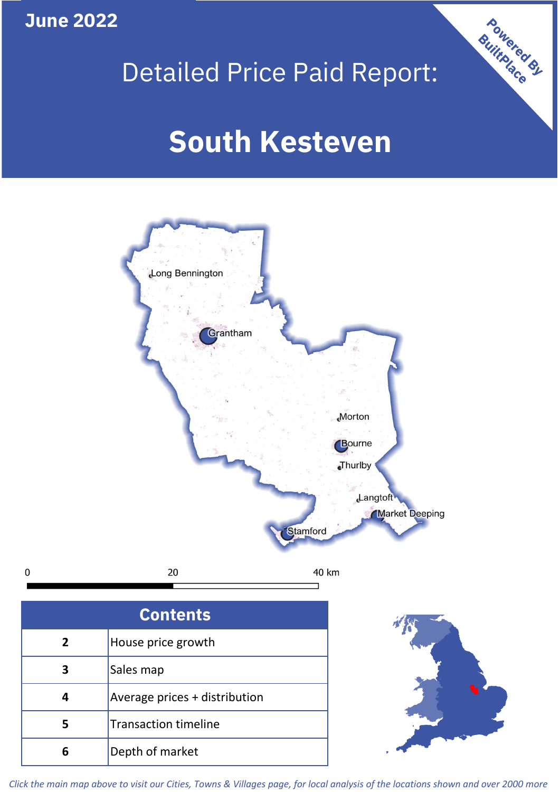

Stamford

20  $\mathbf 0$ 40 km

| <b>Contents</b> |                               |  |  |
|-----------------|-------------------------------|--|--|
| $\mathbf{2}$    | House price growth            |  |  |
|                 | Sales map                     |  |  |
|                 | Average prices + distribution |  |  |
| 5               | <b>Transaction timeline</b>   |  |  |
| 6               | Depth of market               |  |  |



*Click the main map above to visit our Cities, Towns & Villages page, for local analysis of the locations shown and over 2000 more*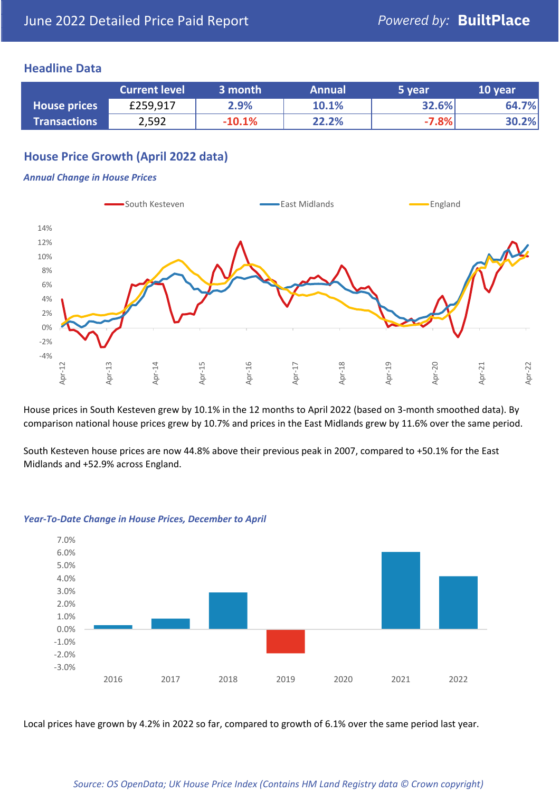## **Headline Data**

|                     | <b>Current level</b> | 3 month  | <b>Annual</b> | 5 year  | 10 year |
|---------------------|----------------------|----------|---------------|---------|---------|
| <b>House prices</b> | £259,917             | 2.9%     | 10.1%         | 32.6%   | 64.7%   |
| <b>Transactions</b> | 2,592                | $-10.1%$ | 22.2%         | $-7.8%$ | 30.2%   |

# **House Price Growth (April 2022 data)**

### *Annual Change in House Prices*



House prices in South Kesteven grew by 10.1% in the 12 months to April 2022 (based on 3-month smoothed data). By comparison national house prices grew by 10.7% and prices in the East Midlands grew by 11.6% over the same period.

South Kesteven house prices are now 44.8% above their previous peak in 2007, compared to +50.1% for the East Midlands and +52.9% across England.



### *Year-To-Date Change in House Prices, December to April*

Local prices have grown by 4.2% in 2022 so far, compared to growth of 6.1% over the same period last year.

### *Source: OS OpenData; UK House Price Index (Contains HM Land Registry data © Crown copyright)*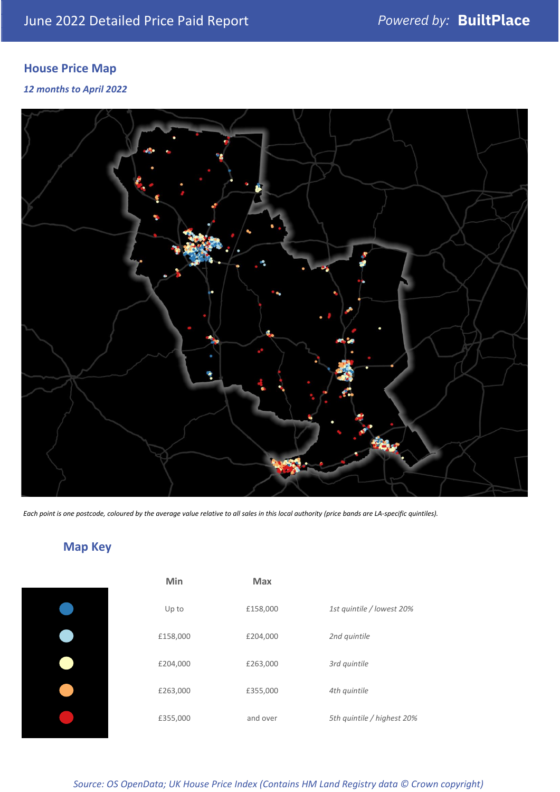# **House Price Map**

*12 months to April 2022*



*Each point is one postcode, coloured by the average value relative to all sales in this local authority (price bands are LA-specific quintiles).*

**Map Key**

| Min      | <b>Max</b> |                            |
|----------|------------|----------------------------|
| Up to    | £158,000   | 1st quintile / lowest 20%  |
| £158,000 | £204,000   | 2nd quintile               |
| £204,000 | £263,000   | 3rd quintile               |
| £263,000 | £355,000   | 4th quintile               |
| £355,000 | and over   | 5th quintile / highest 20% |

## *Source: OS OpenData; UK House Price Index (Contains HM Land Registry data © Crown copyright)*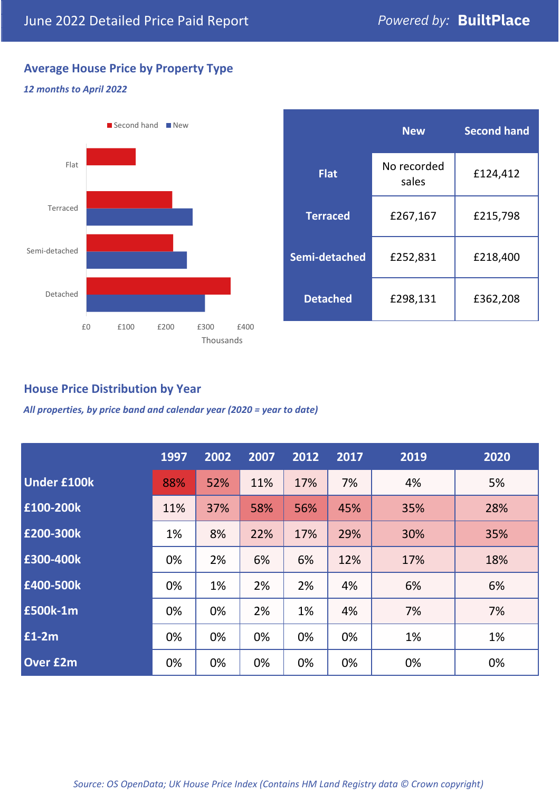# **Average House Price by Property Type**

## *12 months to April 2022*



|                 | <b>New</b>           | <b>Second hand</b> |  |
|-----------------|----------------------|--------------------|--|
| <b>Flat</b>     | No recorded<br>sales | £124,412           |  |
| <b>Terraced</b> | £267,167             | £215,798           |  |
| Semi-detached   | £252,831             | £218,400           |  |
| <b>Detached</b> | £298,131             | £362,208           |  |

# **House Price Distribution by Year**

*All properties, by price band and calendar year (2020 = year to date)*

|                    | 1997 | 2002 | 2007 | 2012 | 2017 | 2019 | 2020 |
|--------------------|------|------|------|------|------|------|------|
| <b>Under £100k</b> | 88%  | 52%  | 11%  | 17%  | 7%   | 4%   | 5%   |
| £100-200k          | 11%  | 37%  | 58%  | 56%  | 45%  | 35%  | 28%  |
| E200-300k          | 1%   | 8%   | 22%  | 17%  | 29%  | 30%  | 35%  |
| £300-400k          | 0%   | 2%   | 6%   | 6%   | 12%  | 17%  | 18%  |
| £400-500k          | 0%   | 1%   | 2%   | 2%   | 4%   | 6%   | 6%   |
| £500k-1m           | 0%   | 0%   | 2%   | 1%   | 4%   | 7%   | 7%   |
| £1-2m              | 0%   | 0%   | 0%   | 0%   | 0%   | 1%   | 1%   |
| <b>Over £2m</b>    | 0%   | 0%   | 0%   | 0%   | 0%   | 0%   | 0%   |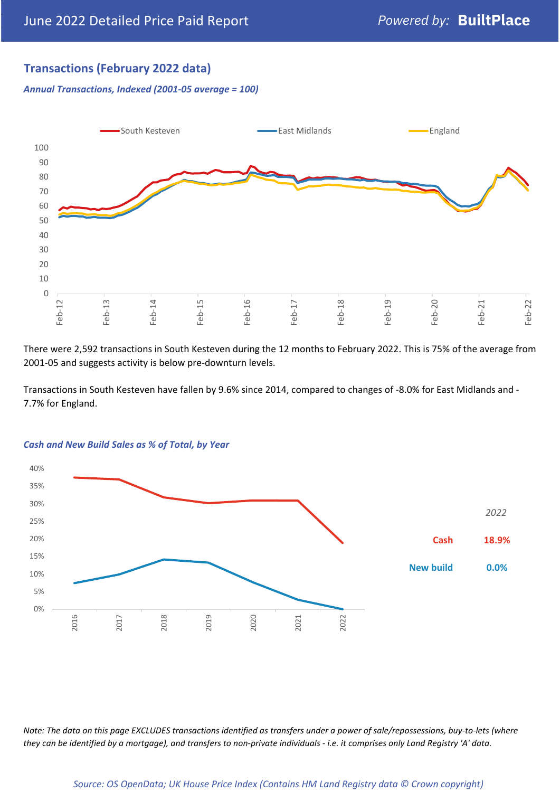# **Transactions (February 2022 data)**

*Annual Transactions, Indexed (2001-05 average = 100)*



There were 2,592 transactions in South Kesteven during the 12 months to February 2022. This is 75% of the average from 2001-05 and suggests activity is below pre-downturn levels.

Transactions in South Kesteven have fallen by 9.6% since 2014, compared to changes of -8.0% for East Midlands and - 7.7% for England.



### *Cash and New Build Sales as % of Total, by Year*

*Note: The data on this page EXCLUDES transactions identified as transfers under a power of sale/repossessions, buy-to-lets (where they can be identified by a mortgage), and transfers to non-private individuals - i.e. it comprises only Land Registry 'A' data.*